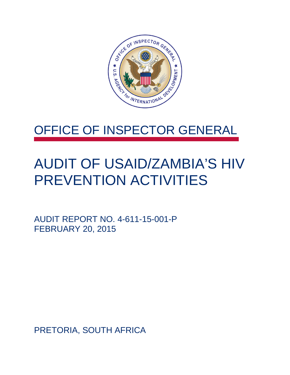

### OFFICE OF INSPECTOR GENERAL

## AUDIT OF USAID/ZAMBIA'S HIV PREVENTION ACTIVITIES

AUDIT REPORT NO. 4-611-15-001-P FEBRUARY 20, 2015

PRETORIA, SOUTH AFRICA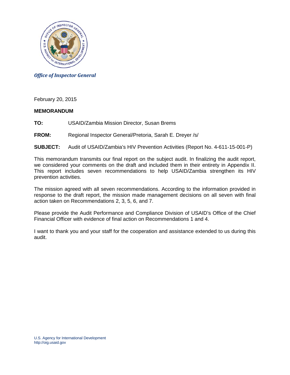

*Office of Inspector General*

February 20, 2015

#### **MEMORANDUM**

**TO:** USAID/Zambia Mission Director, Susan Brems

#### **FROM:** Regional Inspector General/Pretoria, Sarah E. Dreyer /s/

#### **SUBJECT:** Audit of USAID/Zambia's HIV Prevention Activities (Report No. 4-611-15-001-P)

This memorandum transmits our final report on the subject audit. In finalizing the audit report, we considered your comments on the draft and included them in their entirety in Appendix II. This report includes seven recommendations to help USAID/Zambia strengthen its HIV prevention activities.

The mission agreed with all seven recommendations. According to the information provided in response to the draft report, the mission made management decisions on all seven with final action taken on Recommendations 2, 3, 5, 6, and 7.

Please provide the Audit Performance and Compliance Division of USAID's Office of the Chief Financial Officer with evidence of final action on Recommendations 1 and 4.

I want to thank you and your staff for the cooperation and assistance extended to us during this audit.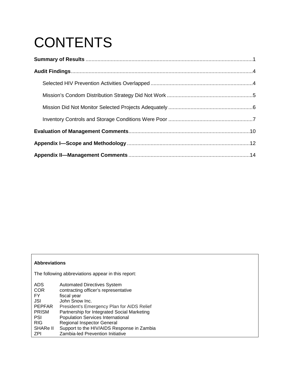# **CONTENTS**

#### **Abbreviations**

The following abbreviations appear in this report:

| <b>Automated Directives System</b>          |
|---------------------------------------------|
| contracting officer's representative        |
| fiscal year                                 |
| John Snow Inc.                              |
| President's Emergency Plan for AIDS Relief  |
| Partnership for Integrated Social Marketing |
| <b>Population Services International</b>    |
| <b>Regional Inspector General</b>           |
| Support to the HIV/AIDS Response in Zambia  |
| Zambia-led Prevention Initiative            |
|                                             |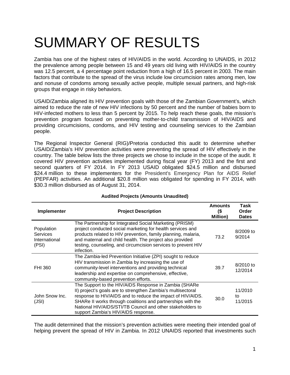## SUMMARY OF RESULTS

Zambia has one of the highest rates of HIV/AIDS in the world. According to UNAIDS, in 2012 the prevalence among people between 15 and 49 years old living with HIV/AIDS in the country was 12.5 percent, a 4 percentage point reduction from a high of 16.5 percent in 2003. The main factors that contribute to the spread of the virus include low circumcision rates among men, low and nonuse of condoms among sexually active people, multiple sexual partners, and high-risk groups that engage in risky behaviors.

USAID/Zambia aligned its HIV prevention goals with those of the Zambian Government's, which aimed to reduce the rate of new HIV infections by 50 percent and the number of babies born to HIV-infected mothers to less than 5 percent by 2015. To help reach these goals, the mission's prevention program focused on preventing mother-to-child transmission of HIV/AIDS and providing circumcisions, condoms, and HIV testing and counseling services to the Zambian people.

The Regional Inspector General (RIG)/Pretoria conducted this audit to determine whether USAID/Zambia's HIV prevention activities were preventing the spread of HIV effectively in the country. The table below lists the three projects we chose to include in the scope of the audit. It covered HIV prevention activities implemented during fiscal year (FY) 2013 and the first and second quarters of FY 2014. In FY 2013 USAID obligated \$24.5 million and disbursed \$24.4 million to these implementers for the President's Emergency Plan for AIDS Relief (PEPFAR) activities. An additional \$20.8 million was obligated for spending in FY 2014, with \$30.3 million disbursed as of August 31, 2014.

| Implementer                                             | <b>Project Description</b>                                                                                                                                                                                                                                                                                                                              | Amounts<br>(\$<br><b>Million</b> ) | Task<br>Order<br><b>Dates</b> |
|---------------------------------------------------------|---------------------------------------------------------------------------------------------------------------------------------------------------------------------------------------------------------------------------------------------------------------------------------------------------------------------------------------------------------|------------------------------------|-------------------------------|
| Population<br><b>Services</b><br>International<br>(PSI) | The Partnership for Integrated Social Marketing (PRISM)<br>project conducted social marketing for health services and<br>products related to HIV prevention, family planning, malaria,<br>and maternal and child health. The project also provided<br>testing, counseling, and circumcision services to prevent HIV<br>infection.                       | 73.2                               | $8/2009$ to<br>9/2014         |
| <b>FHI 360</b>                                          | The Zambia-led Prevention Initiative (ZPI) sought to reduce<br>HIV transmission in Zambia by increasing the use of<br>community-level interventions and providing technical<br>leadership and expertise on comprehensive, effective,<br>community-based prevention efforts.                                                                             | 39.7                               | 8/2010 to<br>12/2014          |
| John Snow Inc.<br>(JSI)                                 | The Support to the HIV/AIDS Response in Zambia (SHARe<br>II) project's goals are to strengthen Zambia's multisectoral<br>response to HIV/AIDS and to reduce the impact of HIV/AIDS.<br>SHARe II works through coalitions and partnerships with the<br>National HIV/AIDS/STI/TB Council and other stakeholders to<br>support Zambia's HIV/AIDS response. | 30.0                               | 11/2010<br>tο<br>11/2015      |

#### **Audited Projects (Amounts Unaudited)**

The audit determined that the mission's prevention activities were meeting their intended goal of helping prevent the spread of HIV in Zambia. In 2012 UNAIDS reported that investments such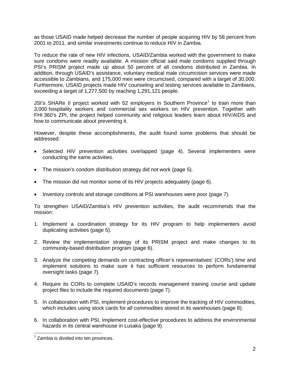as those USAID made helped decrease the number of people acquiring HIV by 58 percent from 2001 to 2011, and similar investments continue to reduce HIV in Zambia.

To reduce the rate of new HIV infections, USAID/Zambia worked with the government to make sure condoms were readily available. A mission official said male condoms supplied through PSI's PRISM project made up about 50 percent of all condoms distributed in Zambia. In addition, through USAID's assistance, voluntary medical male circumcision services were made accessible to Zambians, and 175,000 men were circumcised, compared with a target of 30,000. Furthermore, USAID projects made HIV counseling and testing services available to Zambians, exceeding a target of 1,277,500 by reaching 1,291,121 people.

JSI's SHARe II project worked with 52 employers in Southern Province<sup>[1](#page-4-0)</sup> to train more than 3,000 hospitality workers and commercial sex workers on HIV prevention. Together with FHI 360's ZPI, the project helped community and religious leaders learn about HIV/AIDS and how to communicate about preventing it.

However, despite these accomplishments, the audit found some problems that should be addressed:

- Selected HIV prevention activities overlapped (page 4). Several implementers were conducting the same activities.
- The mission's condom distribution strategy did not work (page 5).
- The mission did not monitor some of its HIV projects adequately (page 6).
- Inventory controls and storage conditions at PSI warehouses were poor (page [7\)](#page-9-0).

To strengthen USAID/Zambia's HIV prevention activities, the audit recommends that the mission:

- 1. Implement a coordination strategy for its HIV program to help implementers avoid duplicating activities (page 5).
- 2. Review the implementation strategy of its PRISM project and make changes to its community-based distribution program (page 6).
- 3. Analyze the competing demands on contracting officer's representatives' (CORs') time and implement solutions to make sure it has sufficient resources to perform fundamental oversight tasks (page 7).
- 4. Require its CORs to complete USAID's records management training course and update project files to include the required documents (page 7).
- 5. In collaboration with PSI, implement procedures to improve the tracking of HIV commodities, which includes using stock cards for all commodities stored in its warehouses (page 8).
- 6. In collaboration with PSI, implement cost-effective procedures to address the environmental hazards in its central warehouse in Lusaka (page 9).

<span id="page-4-0"></span> $1$  Zambia is divided into ten provinces.  $\overline{\phantom{a}}$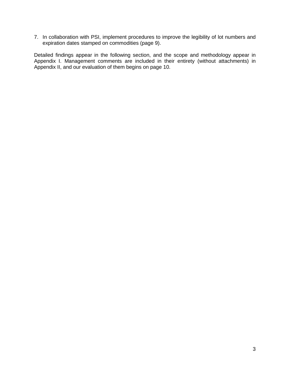7. In collaboration with PSI, implement procedures to improve the legibility of lot numbers and expiration dates stamped on commodities (page 9).

Detailed findings appear in the following section, and the scope and methodology appear in Appendix I. Management comments are included in their entirety (without attachments) in Appendix II, and our evaluation of them begins on page [10.](#page-12-0)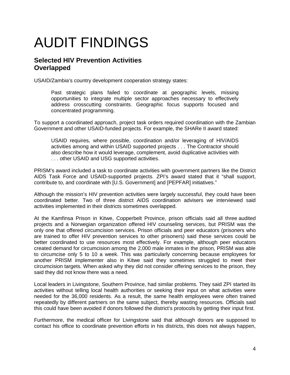## AUDIT FINDINGS

### **Selected HIV Prevention Activities Overlapped**

USAID/Zambia's country development cooperation strategy states:

Past strategic plans failed to coordinate at geographic levels, missing opportunities to integrate multiple sector approaches necessary to effectively address crosscutting constraints. Geographic focus supports focused and concentrated programming.

To support a coordinated approach, project task orders required coordination with the Zambian Government and other USAID-funded projects. For example, the SHARe II award stated:

USAID requires, where possible, coordination and/or leveraging of HIV/AIDS activities among and within USAID supported projects . . . The Contractor should also describe how it would leverage, complement, avoid duplicative activities with . . . other USAID and USG supported activities.

PRISM's award included a task to coordinate activities with government partners like the District AIDS Task Force and USAID-supported projects. ZPI's award stated that it "shall support, contribute to, and coordinate with [U.S. Government] and [PEPFAR] initiatives."

Although the mission's HIV prevention activities were largely successful, they could have been coordinated better. Two of three district AIDS coordination advisers we interviewed said activities implemented in their districts sometimes overlapped.

At the Kamfinsa Prison in Kitwe, Copperbelt Province, prison officials said all three audited projects and a Norwegian organization offered HIV counseling services, but PRISM was the only one that offered circumcision services. Prison officials and peer educators (prisoners who are trained to offer HIV prevention services to other prisoners) said these services could be better coordinated to use resources most effectively. For example, although peer educators created demand for circumcision among the 2,000 male inmates in the prison, PRISM was able to circumcise only 5 to 10 a week. This was particularly concerning because employees for another PRISM implementer also in Kitwe said they sometimes struggled to meet their circumcision targets. When asked why they did not consider offering services to the prison, they said they did not know there was a need.

Local leaders in Livingstone, Southern Province, had similar problems. They said ZPI started its activities without telling local health authorities or seeking their input on what activities were needed for the 36,000 residents. As a result, the same health employees were often trained repeatedly by different partners on the same subject, thereby wasting resources. Officials said this could have been avoided if donors followed the district's protocols by getting their input first.

Furthermore, the medical officer for Livingstone said that although donors are supposed to contact his office to coordinate prevention efforts in his districts, this does not always happen,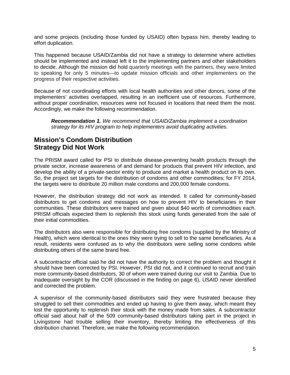and some projects (including those funded by USAID) often bypass him, thereby leading to effort duplication.

This happened because USAID/Zambia did not have a strategy to determine where activities should be implemented and instead left it to the implementing partners and other stakeholders to decide. Although the mission did hold quarterly meetings with the partners, they were limited to speaking for only 5 minutes—to update mission officials and other implementers on the progress of their respective activities.

Because of not coordinating efforts with local health authorities and other donors, some of the implementers' activities overlapped, resulting in an inefficient use of resources. Furthermore, without proper coordination, resources were not focused in locations that need them the most. Accordingly, we make the following recommendation.

*Recommendation 1. We recommend that USAID/Zambia implement a coordination strategy for its HIV program to help implementers avoid duplicating activities.*

### **Mission's Condom Distribution Strategy Did Not Work**

The PRISM award called for PSI to distribute disease-preventing health products through the private sector, increase awareness of and demand for products that prevent HIV infection, and develop the ability of a private-sector entity to produce and market a health product on its own. So, the project set targets for the distribution of condoms and other commodities; for FY 2014, the targets were to distribute 20 million male condoms and 200,000 female condoms.

However, the distribution strategy did not work as intended. It called for community-based distributors to get condoms and messages on how to prevent HIV to beneficiaries in their communities. These distributors were trained and given about \$40 worth of commodities each. PRISM officials expected them to replenish this stock using funds generated from the sale of their initial commodities.

The distributors also were responsible for distributing free condoms (supplied by the Ministry of Health), which were identical to the ones they were trying to sell to the same beneficiaries. As a result, residents were confused as to why the distributors were selling some condoms while distributing others of the same brand free.

A subcontractor official said he did not have the authority to correct the problem and thought it should have been corrected by PSI. However, PSI did not, and it continued to recruit and train more community-based distributors, 30 of whom were trained during our visit to Zambia. Due to inadequate oversight by the COR (discussed in the finding on page [6\)](#page-8-0), USAID never identified and corrected the problem.

A supervisor of the community-based distributors said they were frustrated because they struggled to sell their commodities and ended up having to give them away, which meant they lost the opportunity to replenish their stock with the money made from sales. A subcontractor official said about half of the 509 community-based distributors taking part in the project in Livingstone had trouble selling their inventory, thereby limiting the effectiveness of this distribution channel. Therefore, we make the following recommendation.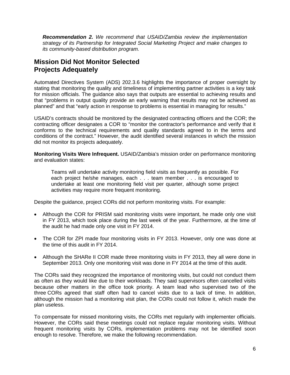<span id="page-8-0"></span>*Recommendation 2. We recommend that USAID/Zambia review the implementation strategy of its Partnership for Integrated Social Marketing Project and make changes to its community-based distribution program.*

### **Mission Did Not Monitor Selected Projects Adequately**

Automated Directives System (ADS) 202.3.6 highlights the importance of proper oversight by stating that monitoring the quality and timeliness of implementing partner activities is a key task for mission officials. The guidance also says that outputs are essential to achieving results and that "problems in output quality provide an early warning that results may not be achieved as planned" and that "early action in response to problems is essential in managing for results."

USAID's contracts should be monitored by the designated contracting officers and the COR; the contracting officer designates a COR to "monitor the contractor's performance and verify that it conforms to the technical requirements and quality standards agreed to in the terms and conditions of the contract." However, the audit identified several instances in which the mission did not monitor its projects adequately.

**Monitoring Visits Were Infrequent.** USAID/Zambia's mission order on performance monitoring and evaluation states:

Teams will undertake activity monitoring field visits as frequently as possible. For each project he/she manages, each . . . team member . . . is encouraged to undertake at least one monitoring field visit per quarter, although some project activities may require more frequent monitoring.

Despite the guidance, project CORs did not perform monitoring visits. For example:

- Although the COR for PRISM said monitoring visits were important, he made only one visit in FY 2013, which took place during the last week of the year. Furthermore, at the time of the audit he had made only one visit in FY 2014.
- The COR for ZPI made four monitoring visits in FY 2013. However, only one was done at the time of this audit in FY 2014.
- Although the SHARe II COR made three monitoring visits in FY 2013, they all were done in September 2013. Only one monitoring visit was done in FY 2014 at the time of this audit.

The CORs said they recognized the importance of monitoring visits, but could not conduct them as often as they would like due to their workloads. They said supervisors often cancelled visits because other matters in the office took priority. A team lead who supervised two of the three CORs agreed that staff often had to cancel visits due to a lack of time. In addition, although the mission had a monitoring visit plan, the CORs could not follow it, which made the plan useless.

To compensate for missed monitoring visits, the CORs met regularly with implementer officials. However, the CORs said these meetings could not replace regular monitoring visits. Without frequent monitoring visits by CORs, implementation problems may not be identified soon enough to resolve. Therefore, we make the following recommendation.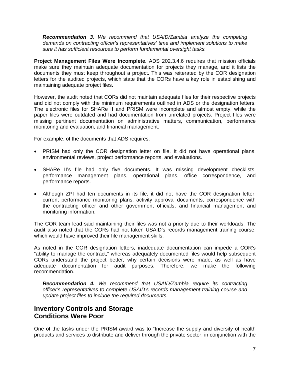*Recommendation 3. We recommend that USAID/Zambia analyze the competing demands on contracting officer's representatives' time and implement solutions to make sure it has sufficient resources to perform fundamental oversight tasks.*

**Project Management Files Were Incomplete.** ADS 202.3.4.6 requires that mission officials make sure they maintain adequate documentation for projects they manage, and it lists the documents they must keep throughout a project. This was reiterated by the COR designation letters for the audited projects, which state that the CORs have a key role in establishing and maintaining adequate project files.

However, the audit noted that CORs did not maintain adequate files for their respective projects and did not comply with the minimum requirements outlined in ADS or the designation letters. The electronic files for SHARe II and PRISM were incomplete and almost empty, while the paper files were outdated and had documentation from unrelated projects. Project files were missing pertinent documentation on administrative matters, communication, performance monitoring and evaluation, and financial management.

For example, of the documents that ADS requires:

- PRISM had only the COR designation letter on file. It did not have operational plans, environmental reviews, project performance reports, and evaluations.
- SHARe II's file had only five documents. It was missing development checklists, performance management plans, operational plans, office correspondence, and performance reports.
- Although ZPI had ten documents in its file, it did not have the COR designation letter, current performance monitoring plans, activity approval documents, correspondence with the contracting officer and other government officials, and financial management and monitoring information.

The COR team lead said maintaining their files was not a priority due to their workloads. The audit also noted that the CORs had not taken USAID's records management training course, which would have improved their file management skills.

As noted in the COR designation letters, inadequate documentation can impede a COR's "ability to manage the contract," whereas adequately documented files would help subsequent CORs understand the project better, why certain decisions were made, as well as have adequate documentation for audit purposes. Therefore, we make the following recommendation.

*Recommendation 4. We recommend that USAID/Zambia require its contracting officer's representatives to complete USAID's records management training course and update project files to include the required documents.* 

### <span id="page-9-0"></span>**Inventory Controls and Storage Conditions Were Poor**

One of the tasks under the PRISM award was to "Increase the supply and diversity of health products and services to distribute and deliver through the private sector, in conjunction with the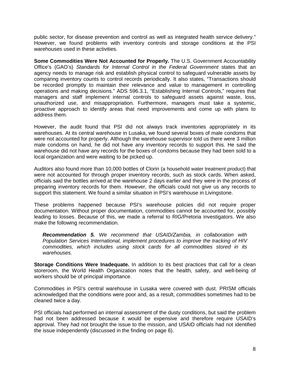public sector, for disease prevention and control as well as integrated health service delivery." However, we found problems with inventory controls and storage conditions at the PSI warehouses used in these activities.

**Some Commodities Were Not Accounted for Properly.** The U.S. Government Accountability Office's (GAO's) *Standards for Internal Control in the Federal Government* states that an agency needs to manage risk and establish physical control to safeguard vulnerable assets by comparing inventory counts to control records periodically. It also states, "Transactions should be recorded promptly to maintain their relevance and value to management in controlling operations and making decisions." ADS 596.3.1, "Establishing Internal Controls," requires that managers and staff implement internal controls to safeguard assets against waste, loss, unauthorized use, and misappropriation. Furthermore, managers must take a systemic, proactive approach to identify areas that need improvements and come up with plans to address them.

However, the audit found that PSI did not always track inventories appropriately in its warehouses. At its central warehouse in Lusaka, we found several boxes of male condoms that were not accounted for properly. Although the warehouse supervisor told us there were 3 million male condoms on hand, he did not have any inventory records to support this. He said the warehouse did not have any records for the boxes of condoms because they had been sold to a local organization and were waiting to be picked up.

Auditors also found more than 10,000 bottles of Clorin (a household water treatment product) that were not accounted for through proper inventory records, such as stock cards. When asked, officials said the bottles arrived at the warehouse 2 days earlier and they were in the process of preparing inventory records for them. However, the officials could not give us any records to support this statement. We found a similar situation in PSI's warehouse in Livingstone.

These problems happened because PSI's warehouse policies did not require proper documentation. Without proper documentation, commodities cannot be accounted for, possibly leading to losses. Because of this, we made a referral to RIG/Pretoria investigators. We also make the following recommendation.

*Recommendation 5. We recommend that USAID/Zambia, in collaboration with Population Services International, implement procedures to improve the tracking of HIV commodities, which includes using stock cards for all commodities stored in its warehouses.* 

**Storage Conditions Were Inadequate.** In addition to its best practices that call for a clean storeroom, the World Health Organization notes that the health, safety, and well-being of workers should be of principal importance.

Commodities in PSI's central warehouse in Lusaka were covered with dust. PRISM officials acknowledged that the conditions were poor and, as a result, commodities sometimes had to be cleaned twice a day.

PSI officials had performed an internal assessment of the dusty conditions, but said the problem had not been addressed because it would be expensive and therefore require USAID's approval. They had not brought the issue to the mission, and USAID officials had not identified the issue independently (discussed in the finding on page [6\)](#page-8-0).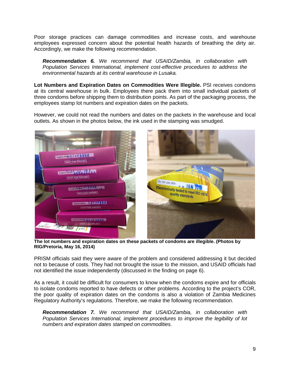Poor storage practices can damage commodities and increase costs, and warehouse employees expressed concern about the potential health hazards of breathing the dirty air. Accordingly, we make the following recommendation.

*Recommendation 6. We recommend that USAID/Zambia, in collaboration with Population Services International, implement cost-effective procedures to address the environmental hazards at its central warehouse in Lusaka.* 

**Lot Numbers and Expiration Dates on Commodities Were Illegible.** PSI receives condoms at its central warehouse in bulk. Employees there pack them into small individual packets of three condoms before shipping them to distribution points. As part of the packaging process, the employees stamp lot numbers and expiration dates on the packets.

However, we could not read the numbers and dates on the packets in the warehouse and local outlets. As shown in the photos below, the ink used in the stamping was smudged.



 **The lot numbers and expiration dates on these packets of condoms are illegible. (Photos by RIG/Pretoria, May 16, 2014)**

PRISM officials said they were aware of the problem and considered addressing it but decided not to because of costs. They had not brought the issue to the mission, and USAID officials had not identified the issue independently (discussed in the finding on page [6\)](#page-8-0).

As a result, it could be difficult for consumers to know when the condoms expire and for officials to isolate condoms reported to have defects or other problems. According to the project's COR, the poor quality of expiration dates on the condoms is also a violation of Zambia Medicines Regulatory Authority's regulations. Therefore, we make the following recommendation.

*Recommendation 7. We recommend that USAID/Zambia, in collaboration with Population Services International, implement procedures to improve the legibility of lot numbers and expiration dates stamped on commodities.*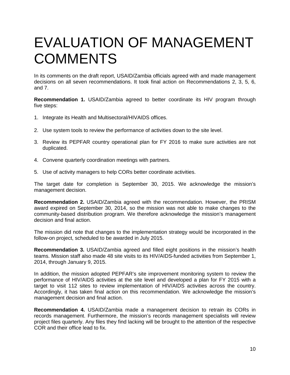## <span id="page-12-0"></span>EVALUATION OF MANAGEMENT **COMMENTS**

In its comments on the draft report, USAID/Zambia officials agreed with and made management decisions on all seven recommendations. It took final action on Recommendations 2, 3, 5, 6, and 7.

**Recommendation 1.** USAID/Zambia agreed to better coordinate its HIV program through five steps:

- 1. Integrate its Health and Multisectoral/HIVAIDS offices.
- 2. Use system tools to review the performance of activities down to the site level.
- 3. Review its PEPFAR country operational plan for FY 2016 to make sure activities are not duplicated.
- 4. Convene quarterly coordination meetings with partners.
- 5. Use of activity managers to help CORs better coordinate activities.

The target date for completion is September 30, 2015. We acknowledge the mission's management decision.

**Recommendation 2.** USAID/Zambia agreed with the recommendation. However, the PRISM award expired on September 30, 2014, so the mission was not able to make changes to the community-based distribution program. We therefore acknowledge the mission's management decision and final action.

The mission did note that changes to the implementation strategy would be incorporated in the follow-on project, scheduled to be awarded in July 2015.

**Recommendation 3.** USAID/Zambia agreed and filled eight positions in the mission's health teams. Mission staff also made 48 site visits to its HIV/AIDS-funded activities from September 1, 2014, through January 9, 2015.

In addition, the mission adopted PEPFAR's site improvement monitoring system to review the performance of HIV/AIDS activities at the site level and developed a plan for FY 2015 with a target to visit 112 sites to review implementation of HIV/AIDS activities across the country. Accordingly, it has taken final action on this recommendation. We acknowledge the mission's management decision and final action.

**Recommendation 4.** USAID/Zambia made a management decision to retrain its CORs in records management. Furthermore, the mission's records management specialists will review project files quarterly. Any files they find lacking will be brought to the attention of the respective COR and their office lead to fix.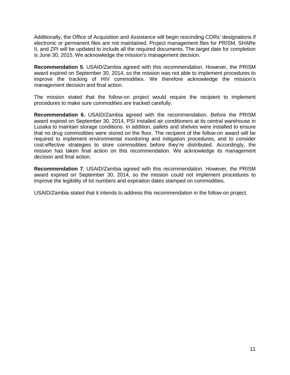Additionally, the Office of Acquisition and Assistance will begin rescinding CORs' designations if electronic or permanent files are not maintained. Project management files for PRISM, SHARe II, and ZPI will be updated to include all the required documents. The target date for completion is June 30, 2015. We acknowledge the mission's management decision.

**Recommendation 5.** USAID/Zambia agreed with this recommendation. However, the PRISM award expired on September 30, 2014, so the mission was not able to implement procedures to improve the tracking of HIV commodities. We therefore acknowledge the mission's management decision and final action.

The mission stated that the follow-on project would require the recipient to implement procedures to make sure commodities are tracked carefully.

**Recommendation 6.** USAID/Zambia agreed with the recommendation. Before the PRISM award expired on September 30, 2014, PSI installed air conditioners at its central warehouse in Lusaka to maintain storage conditions. In addition, pallets and shelves were installed to ensure that no drug commodities were stored on the floor. The recipient of the follow-on award will be required to implement environmental monitoring and mitigation procedures, and to consider cost-effective strategies to store commodities before they're distributed. Accordingly, the mission has taken final action on this recommendation. We acknowledge its management decision and final action.

**Recommendation 7.** USAID/Zambia agreed with this recommendation. However, the PRISM award expired on September 30, 2014, so the mission could not implement procedures to improve the legibility of lot numbers and expiration dates stamped on commodities.

USAID/Zambia stated that it intends to address this recommendation in the follow-on project.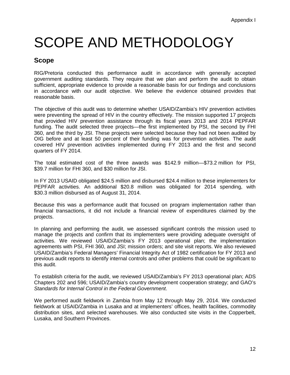## SCOPE AND METHODOLOGY

### **Scope**

RIG/Pretoria conducted this performance audit in accordance with generally accepted government auditing standards. They require that we plan and perform the audit to obtain sufficient, appropriate evidence to provide a reasonable basis for our findings and conclusions in accordance with our audit objective. We believe the evidence obtained provides that reasonable basis.

The objective of this audit was to determine whether USAID/Zambia's HIV prevention activities were preventing the spread of HIV in the country effectively. The mission supported 17 projects that provided HIV prevention assistance through its fiscal years 2013 and 2014 PEPFAR funding. The audit selected three projects—the first implemented by PSI, the second by FHI 360, and the third by JSI. These projects were selected because they had not been audited by OIG before and at least 50 percent of their funding was for prevention activities. The audit covered HIV prevention activities implemented during FY 2013 and the first and second quarters of FY 2014.

The total estimated cost of the three awards was \$142.9 million—\$73.2 million for PSI, \$39.7 million for FHI 360, and \$30 million for JSI.

In FY 2013 USAID obligated \$24.5 million and disbursed \$24.4 million to these implementers for PEPFAR activities. An additional \$20.8 million was obligated for 2014 spending, with \$30.3 million disbursed as of August 31, 2014.

Because this was a performance audit that focused on program implementation rather than financial transactions, it did not include a financial review of expenditures claimed by the projects.

In planning and performing the audit, we assessed significant controls the mission used to manage the projects and confirm that its implementers were providing adequate oversight of activities. We reviewed USAID/Zambia's FY 2013 operational plan; the implementation agreements with PSI, FHI 360, and JSI; mission orders; and site visit reports. We also reviewed USAID/Zambia's Federal Managers' Financial Integrity Act of 1982 certification for FY 2013 and previous audit reports to identify internal controls and other problems that could be significant to this audit.

To establish criteria for the audit, we reviewed USAID/Zambia's FY 2013 operational plan; ADS Chapters 202 and 596; USAID/Zambia's country development cooperation strategy; and GAO's *Standards for Internal Control in the Federal Government*.

We performed audit fieldwork in Zambia from May 12 through May 29, 2014. We conducted fieldwork at USAID/Zambia in Lusaka and at implementers' offices, health facilities, commodity distribution sites, and selected warehouses. We also conducted site visits in the Copperbelt, Lusaka, and Southern Provinces.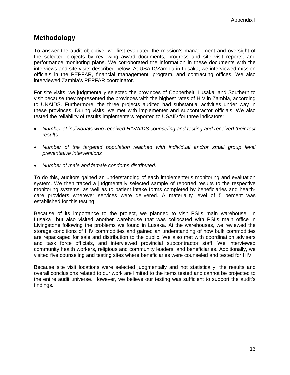### **Methodology**

To answer the audit objective, we first evaluated the mission's management and oversight of the selected projects by reviewing award documents, progress and site visit reports, and performance monitoring plans. We corroborated the information in these documents with the interviews and site visits described below. At USAID/Zambia in Lusaka, we interviewed mission officials in the PEPFAR, financial management, program, and contracting offices. We also interviewed Zambia's PEPFAR coordinator.

For site visits, we judgmentally selected the provinces of Copperbelt, Lusaka, and Southern to visit because they represented the provinces with the highest rates of HIV in Zambia, according to UNAIDS. Furthermore, the three projects audited had substantial activities under way in these provinces. During visits, we met with implementer and subcontractor officials. We also tested the reliability of results implementers reported to USAID for three indicators:

- *Number of individuals who received HIV/AIDS counseling and testing and received their test results*
- *Number of the targeted population reached with individual and/or small group level preventative interventions*
- *Number of male and female condoms distributed.*

To do this, auditors gained an understanding of each implementer's monitoring and evaluation system. We then traced a judgmentally selected sample of reported results to the respective monitoring systems, as well as to patient intake forms completed by beneficiaries and healthcare providers wherever services were delivered. A materiality level of 5 percent was established for this testing.

Because of its importance to the project, we planned to visit PSI's main warehouse—in Lusaka—but also visited another warehouse that was collocated with PSI's main office in Livingstone following the problems we found in Lusaka. At the warehouses, we reviewed the storage conditions of HIV commodities and gained an understanding of how bulk commodities are repackaged for sale and distribution to the public. We also met with coordination advisers and task force officials, and interviewed provincial subcontractor staff. We interviewed community health workers, religious and community leaders, and beneficiaries. Additionally, we visited five counseling and testing sites where beneficiaries were counseled and tested for HIV.

Because site visit locations were selected judgmentally and not statistically, the results and overall conclusions related to our work are limited to the items tested and cannot be projected to the entire audit universe. However, we believe our testing was sufficient to support the audit's findings.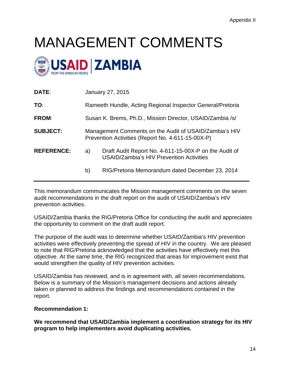## MANAGEMENT COMMENTS



| TO:                     | Rameeth Hundle, Acting Regional Inspector General/Pretoria                                                  |  |
|-------------------------|-------------------------------------------------------------------------------------------------------------|--|
| <b>FROM:</b>            | Susan K. Brems, Ph.D., Mission Director, USAID/Zambia /s/                                                   |  |
| <b>SUBJECT:</b>         | Management Comments on the Audit of USAID/Zambia's HIV<br>Prevention Activities (Report No. 4-611-15-00X-P) |  |
| <b>REFERENCE:</b><br>a) | Draft Audit Report No. 4-611-15-00X-P on the Audit of<br><b>USAID/Zambia's HIV Prevention Activities</b>    |  |
| b)                      | RIG/Pretoria Memorandum dated December 23, 2014                                                             |  |

This memorandum communicates the Mission management comments on the seven audit recommendations in the draft report on the audit of USAID/Zambia's HIV prevention activities.

USAID/Zambia thanks the RIG/Pretoria Office for conducting the audit and appreciates the opportunity to comment on the draft audit report.

The purpose of the audit was to determine whether USAID/Zambia's HIV prevention activities were effectively preventing the spread of HIV in the country. We are pleased to note that RIG/Pretoria acknowledged that the activities have effectively met this objective. At the same time, the RIG recognized that areas for improvement exist that would strengthen the quality of HIV prevention activities.

USAID/Zambia has reviewed, and is in agreement with, all seven recommendations. Below is a summary of the Mission's management decisions and actions already taken or planned to address the findings and recommendations contained in the report.

#### **Recommendation 1:**

**We recommend that USAID/Zambia implement a coordination strategy for its HIV program to help implementers avoid duplicating activities.**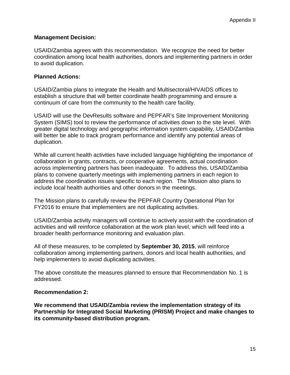#### **Management Decision:**

USAID/Zambia agrees with this recommendation. We recognize the need for better coordination among local health authorities, donors and implementing partners in order to avoid duplication.

#### **Planned Actions:**

USAID/Zambia plans to integrate the Health and Multisectoral/HIVAIDS offices to establish a structure that will better coordinate health programming and ensure a continuum of care from the community to the health care facility.

USAID will use the DevResults software and PEPFAR's Site Improvement Monitoring System (SIMS) tool to review the performance of activities down to the site level. With greater digital technology and geographic information system capability, USAID/Zambia will better be able to track program performance and identify any potential areas of duplication.

While all current health activities have included language highlighting the importance of collaboration in grants, contracts, or cooperative agreements, actual coordination across implementing partners has been inadequate. To address this, USAID/Zambia plans to convene quarterly meetings with implementing partners in each region to address the coordination issues specific to each region. The Mission also plans to include local health authorities and other donors in the meetings.

The Mission plans to carefully review the PEPFAR Country Operational Plan for FY2016 to ensure that implementers are not duplicating activities.

USAID/Zambia activity managers will continue to actively assist with the coordination of activities and will reinforce collaboration at the work plan level, which will feed into a broader health performance monitoring and evaluation plan.

All of these measures, to be completed by **September 30, 2015**, will reinforce collaboration among implementing partners, donors and local health authorities, and help implementers to avoid duplicating activities.

The above constitute the measures planned to ensure that Recommendation No. 1 is addressed.

#### **Recommendation 2:**

**We recommend that USAID/Zambia review the implementation strategy of its Partnership for Integrated Social Marketing (PRISM) Project and make changes to its community-based distribution program.**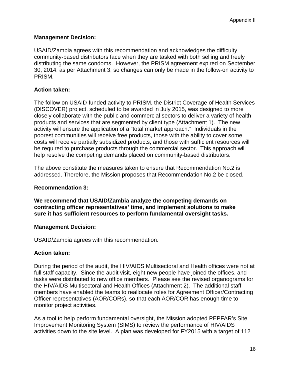#### **Management Decision:**

USAID/Zambia agrees with this recommendation and acknowledges the difficulty community**-**based distributors face when they are tasked with both selling and freely distributing the same condoms. However, the PRISM agreement expired on September 30, 2014, as per Attachment 3, so changes can only be made in the follow-on activity to PRISM.

#### **Action taken:**

The follow on USAID-funded activity to PRISM, the District Coverage of Health Services (DISCOVER) project, scheduled to be awarded in July 2015, was designed to more closely collaborate with the public and commercial sectors to deliver a variety of health products and services that are segmented by client type (Attachment 1). The new activity will ensure the application of a "total market approach." Individuals in the poorest communities will receive free products, those with the ability to cover some costs will receive partially subsidized products, and those with sufficient resources will be required to purchase products through the commercial sector. This approach will help resolve the competing demands placed on community-based distributors.

The above constitute the measures taken to ensure that Recommendation No.2 is addressed. Therefore, the Mission proposes that Recommendation No.2 be closed.

#### **Recommendation 3:**

**We recommend that USAID/Zambia analyze the competing demands on contracting officer representatives' time, and implement solutions to make sure it has sufficient resources to perform fundamental oversight tasks.**

#### **Management Decision:**

USAID/Zambia agrees with this recommendation.

#### **Action taken:**

During the period of the audit, the HIV/AIDS Multisectoral and Health offices were not at full staff capacity. Since the audit visit, eight new people have joined the offices, and tasks were distributed to new office members. Please see the revised organograms for the HIV/AIDS Multisectoral and Health Offices (Attachment 2). The additional staff members have enabled the teams to reallocate roles for Agreement Officer/Contracting Officer representatives (AOR/CORs), so that each AOR/COR has enough time to monitor project activities.

As a tool to help perform fundamental oversight, the Mission adopted PEPFAR's Site Improvement Monitoring System (SIMS) to review the performance of HIV/AIDS activities down to the site level. A plan was developed for FY2015 with a target of 112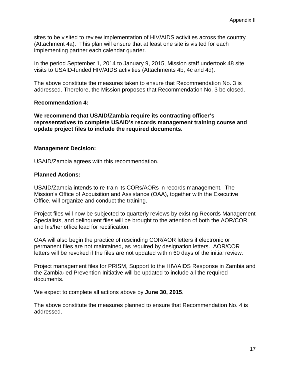sites to be visited to review implementation of HIV/AIDS activities across the country (Attachment 4a). This plan will ensure that at least one site is visited for each implementing partner each calendar quarter.

In the period September 1, 2014 to January 9, 2015, Mission staff undertook 48 site visits to USAID**-**funded HIV/AIDS activities (Attachments 4b, 4c and 4d).

The above constitute the measures taken to ensure that Recommendation No. 3 is addressed. Therefore, the Mission proposes that Recommendation No. 3 be closed.

#### **Recommendation 4:**

**We recommend that USAID/Zambia require its contracting officer's representatives to complete USAID's records management training course and update project files to include the required documents.** 

#### **Management Decision:**

USAID/Zambia agrees with this recommendation.

#### **Planned Actions:**

USAID/Zambia intends to re-train its CORs/AORs in records management. The Mission's Office of Acquisition and Assistance (OAA), together with the Executive Office, will organize and conduct the training.

Project files will now be subjected to quarterly reviews by existing Records Management Specialists, and delinquent files will be brought to the attention of both the AOR/COR and his/her office lead for rectification.

OAA will also begin the practice of rescinding COR/AOR letters if electronic or permanent files are not maintained, as required by designation letters. AOR/COR letters will be revoked if the files are not updated within 60 days of the initial review.

Project management files for PRISM, Support to the HIV/AIDS Response in Zambia and the Zambia**-**led Prevention Initiative will be updated to include all the required documents.

We expect to complete all actions above by **June 30, 2015**.

The above constitute the measures planned to ensure that Recommendation No. 4 is addressed.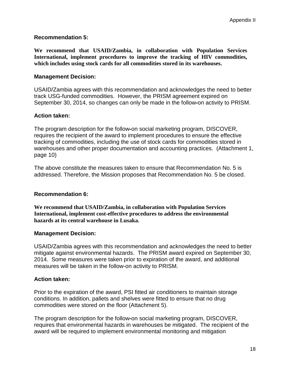#### **Recommendation 5:**

**We recommend that USAID/Zambia, in collaboration with Population Services International, implement procedures to improve the tracking of HIV commodities, which includes using stock cards for all commodities stored in its warehouses.** 

#### **Management Decision:**

USAID/Zambia agrees with this recommendation and acknowledges the need to better track USG-funded commodities. However, the PRISM agreement expired on September 30, 2014, so changes can only be made in the follow**-**on activity to PRISM.

#### **Action taken:**

The program description for the follow**-**on social marketing program, DISCOVER, requires the recipient of the award to implement procedures to ensure the effective tracking of commodities, including the use of stock cards for commodities stored in warehouses and other proper documentation and accounting practices. (Attachment 1, page 10)

The above constitute the measures taken to ensure that Recommendation No. 5 is addressed. Therefore, the Mission proposes that Recommendation No. 5 be closed.

#### **Recommendation 6:**

**We recommend that USAID/Zambia, in collaboration with Population Services International, implement cost-effective procedures to address the environmental hazards at its central warehouse in Lusaka.** 

#### **Management Decision:**

USAID/Zambia agrees with this recommendation and acknowledges the need to better mitigate against environmental hazards. The PRISM award expired on September 30, 2014. Some measures were taken prior to expiration of the award, and additional measures will be taken in the follow-on activity to PRISM.

#### **Action taken:**

Prior to the expiration of the award, PSI fitted air conditioners to maintain storage conditions. In addition, pallets and shelves were fitted to ensure that no drug commodities were stored on the floor (Attachment 5).

The program description for the follow**-**on social marketing program, DISCOVER, requires that environmental hazards in warehouses be mitigated. The recipient of the award will be required to implement environmental monitoring and mitigation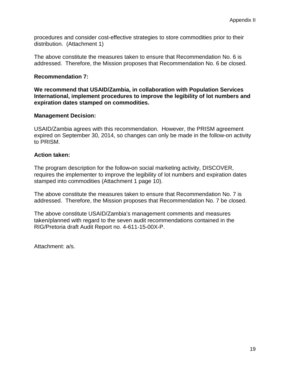procedures and consider cost-effective strategies to store commodities prior to their distribution. (Attachment 1)

The above constitute the measures taken to ensure that Recommendation No. 6 is addressed. Therefore, the Mission proposes that Recommendation No. 6 be closed.

#### **Recommendation 7:**

**We recommend that USAID/Zambia, in collaboration with Population Services International, implement procedures to improve the legibility of lot numbers and expiration dates stamped on commodities.**

#### **Management Decision:**

USAID/Zambia agrees with this recommendation. However, the PRISM agreement expired on September 30, 2014, so changes can only be made in the follow-on activity to PRISM.

#### **Action taken:**

The program description for the follow**-**on social marketing activity, DISCOVER, requires the implementer to improve the legibility of lot numbers and expiration dates stamped into commodities (Attachment 1 page 10).

The above constitute the measures taken to ensure that Recommendation No. 7 is addressed. Therefore, the Mission proposes that Recommendation No. 7 be closed.

The above constitute USAID/Zambia's management comments and measures taken/planned with regard to the seven audit recommendations contained in the RIG/Pretoria draft Audit Report no. 4-611-15-00X-P.

Attachment: a/s.